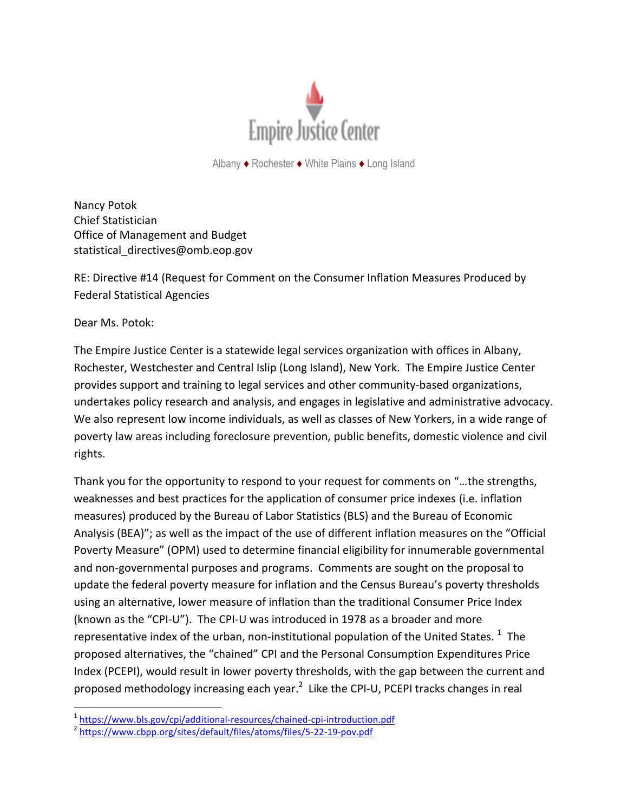

Albany ♦ Rochester ♦ White Plains ♦ Long Island

Nancy Potok Chief Statistician Office of Management and Budget statistical\_directives@omb.eop.gov

RE: Directive #14 (Request for Comment on the Consumer Inflation Measures Produced by Federal Statistical Agencies

Dear Ms. Potok:

l

The Empire Justice Center is a statewide legal services organization with offices in Albany, Rochester, Westchester and Central Islip (Long Island), New York. The Empire Justice Center provides support and training to legal services and other community-based organizations, undertakes policy research and analysis, and engages in legislative and administrative advocacy. We also represent low income individuals, as well as classes of New Yorkers, in a wide range of poverty law areas including foreclosure prevention, public benefits, domestic violence and civil rights.

Thank you for the opportunity to respond to your request for comments on "…the strengths, weaknesses and best practices for the application of consumer price indexes (i.e. inflation measures) produced by the Bureau of Labor Statistics (BLS) and the Bureau of Economic Analysis (BEA)"; as well as the impact of the use of different inflation measures on the "Official Poverty Measure" (OPM) used to determine financial eligibility for innumerable governmental and non-governmental purposes and programs. Comments are sought on the proposal to update the federal poverty measure for inflation and the Census Bureau's poverty thresholds using an alternative, lower measure of inflation than the traditional Consumer Price Index (known as the "CPI-U"). The CPI-U was introduced in 1978 as a broader and more representative index of the urban, non-institutional population of the United States.  $^{1}$  The proposed alternatives, the "chained" CPI and the Personal Consumption Expenditures Price Index (PCEPI), would result in lower poverty thresholds, with the gap between the current and proposed methodology increasing each year.<sup>2</sup> Like the CPI-U, PCEPI tracks changes in real

<sup>&</sup>lt;sup>1</sup> <https://www.bls.gov/cpi/additional-resources/chained-cpi-introduction.pdf>

<sup>&</sup>lt;sup>2</sup> <https://www.cbpp.org/sites/default/files/atoms/files/5-22-19-pov.pdf>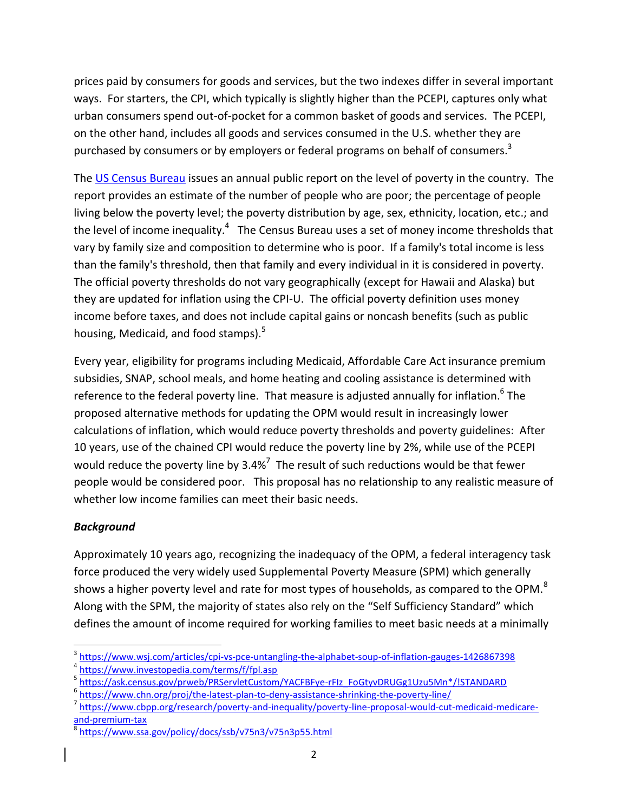prices paid by consumers for goods and services, but the two indexes differ in several important ways. For starters, the CPI, which typically is slightly higher than the PCEPI, captures only what urban consumers spend out-of-pocket for a common basket of goods and services. The PCEPI, on the other hand, includes all goods and services consumed in the U.S. whether they are purchased by consumers or by employers or federal programs on behalf of consumers.<sup>3</sup>

The [US Census Bureau](https://www.investopedia.com/terms/b/bureauofcensus.asp) issues an annual public report on the level of poverty in the country. The report provides an estimate of the number of people who are poor; the percentage of people living below the poverty level; the poverty distribution by age, sex, ethnicity, location, etc.; and the level of income inequality.<sup>4</sup> The Census Bureau uses a set of money income thresholds that vary by family size and composition to determine who is poor. If a family's total income is less than the family's threshold, then that family and every individual in it is considered in poverty. The official poverty thresholds do not vary geographically (except for Hawaii and Alaska) but they are updated for inflation using the CPI-U. The official poverty definition uses money income before taxes, and does not include capital gains or noncash benefits (such as public housing, Medicaid, and food stamps).<sup>5</sup>

Every year, eligibility for programs including Medicaid, Affordable Care Act insurance premium subsidies, SNAP, school meals, and home heating and cooling assistance is determined with reference to the federal poverty line. That measure is adjusted annually for inflation.<sup>6</sup> The proposed alternative methods for updating the OPM would result in increasingly lower calculations of inflation, which would reduce poverty thresholds and poverty guidelines: After 10 years, use of the chained CPI would reduce the poverty line by 2%, while use of the PCEPI would reduce the poverty line by 3.4%<sup>7</sup> The result of such reductions would be that fewer people would be considered poor. This proposal has no relationship to any realistic measure of whether low income families can meet their basic needs.

## *Background*

Approximately 10 years ago, recognizing the inadequacy of the OPM, a federal interagency task force produced the very widely used Supplemental Poverty Measure (SPM) which generally shows a higher poverty level and rate for most types of households, as compared to the OPM.<sup>8</sup> Along with the SPM, the majority of states also rely on the "Self Sufficiency Standard" which defines the amount of income required for working families to meet basic needs at a minimally

 $\overline{\phantom{a}}$ <sup>3</sup> <https://www.wsj.com/articles/cpi-vs-pce-untangling-the-alphabet-soup-of-inflation-gauges-1426867398>

<sup>4</sup> <https://www.investopedia.com/terms/f/fpl.asp>

<sup>&</sup>lt;sup>5</sup> <u>[https://ask.census.gov/prweb/PRServletCustom/YACFBFye-rFIz\\_FoGtyvDRUGg1Uzu5Mn\\*/!STANDARD](https://ask.census.gov/prweb/PRServletCustom/YACFBFye-rFIz_FoGtyvDRUGg1Uzu5Mn*/!STANDARD)</u>

<sup>&</sup>lt;sup>6</sup> <https://www.chn.org/proj/the-latest-plan-to-deny-assistance-shrinking-the-poverty-line/>

<sup>&</sup>lt;sup>7</sup> [https://www.cbpp.org/research/poverty-and-inequality/poverty-line-proposal-would-cut-medicaid-medicare](https://www.cbpp.org/research/poverty-and-inequality/poverty-line-proposal-would-cut-medicaid-medicare-and-premium-tax)[and-premium-tax](https://www.cbpp.org/research/poverty-and-inequality/poverty-line-proposal-would-cut-medicaid-medicare-and-premium-tax)

<sup>8</sup> <https://www.ssa.gov/policy/docs/ssb/v75n3/v75n3p55.html>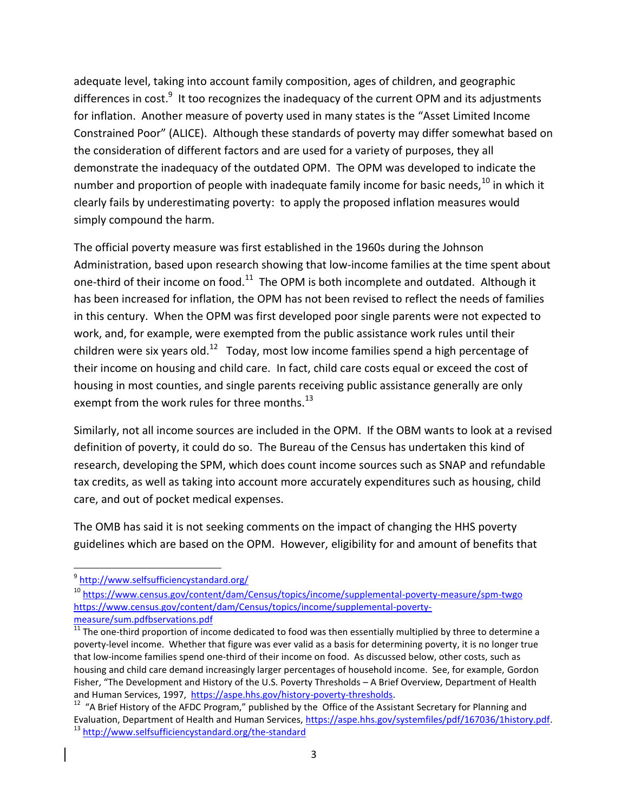adequate level, taking into account family composition, ages of children, and geographic differences in cost.<sup>9</sup> It too recognizes the inadequacy of the current OPM and its adjustments for inflation. Another measure of poverty used in many states is the "Asset Limited Income Constrained Poor" (ALICE). Although these standards of poverty may differ somewhat based on the consideration of different factors and are used for a variety of purposes, they all demonstrate the inadequacy of the outdated OPM. The OPM was developed to indicate the number and proportion of people with inadequate family income for basic needs,<sup>10</sup> in which it clearly fails by underestimating poverty: to apply the proposed inflation measures would simply compound the harm.

The official poverty measure was first established in the 1960s during the Johnson Administration, based upon research showing that low-income families at the time spent about one-third of their income on food.<sup>11</sup> The OPM is both incomplete and outdated. Although it has been increased for inflation, the OPM has not been revised to reflect the needs of families in this century. When the OPM was first developed poor single parents were not expected to work, and, for example, were exempted from the public assistance work rules until their children were six years old.<sup>12</sup> Today, most low income families spend a high percentage of their income on housing and child care. In fact, child care costs equal or exceed the cost of housing in most counties, and single parents receiving public assistance generally are only exempt from the work rules for three months. $^{13}$ 

Similarly, not all income sources are included in the OPM. If the OBM wants to look at a revised definition of poverty, it could do so. The Bureau of the Census has undertaken this kind of research, developing the SPM, which does count income sources such as SNAP and refundable tax credits, as well as taking into account more accurately expenditures such as housing, child care, and out of pocket medical expenses.

The OMB has said it is not seeking comments on the impact of changing the HHS poverty guidelines which are based on the OPM. However, eligibility for and amount of benefits that

 $\overline{a}$ 

<sup>&</sup>lt;sup>9</sup><http://www.selfsufficiencystandard.org/>

<sup>10</sup> [https://www.census.gov/content/dam/Census/topics/income/supplemental-poverty-measure/spm-twgo](https://www.census.gov/content/dam/Census/topics/income/supplemental-poverty-measure/spm-twgobservations.pdf) [https://www.census.gov/content/dam/Census/topics/income/supplemental-poverty](https://www.census.gov/content/dam/Census/topics/income/supplemental-poverty-measure/spm-twgobservations.pdf)[measure/sum.pdfb](https://www.census.gov/content/dam/Census/topics/income/supplemental-poverty-measure/sum.pdf)servations.pdf

<sup>&</sup>lt;sup>11</sup> The one-third proportion of income dedicated to food was then essentially multiplied by three to determine a poverty-level income. Whether that figure was ever valid as a basis for determining poverty, it is no longer true that low-income families spend one-third of their income on food. As discussed below, other costs, such as housing and child care demand increasingly larger percentages of household income. See, for example, Gordon Fisher, "The Development and History of the U.S. Poverty Thresholds – A Brief Overview, Department of Health and Human Services, 1997, [https://aspe.hhs.gov/history-poverty-thresholds.](https://aspe.hhs.gov/history-poverty-thresholds)

<sup>&</sup>lt;sup>12</sup> "A Brief History of the AFDC Program," published by the Office of the Assistant Secretary for Planning and Evaluation, Department of Health and Human Services, [https://aspe.hhs.gov/systemfiles/pdf/167036/1history.pdf.](https://aspe.hhs.gov/systemfiles/pdf/167036/1history.pdf) <sup>13</sup> <http://www.selfsufficiencystandard.org/the-standard>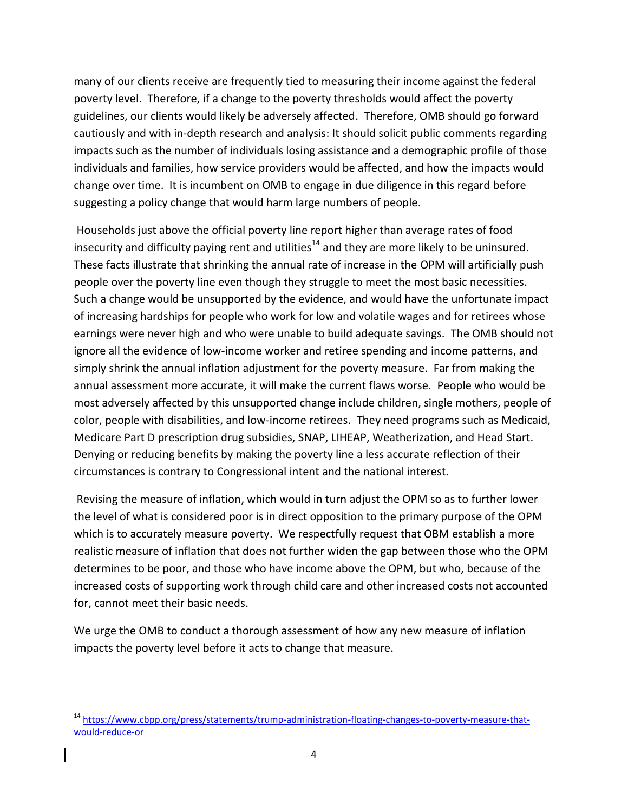many of our clients receive are frequently tied to measuring their income against the federal poverty level. Therefore, if a change to the poverty thresholds would affect the poverty guidelines, our clients would likely be adversely affected. Therefore, OMB should go forward cautiously and with in-depth research and analysis: It should solicit public comments regarding impacts such as the number of individuals losing assistance and a demographic profile of those individuals and families, how service providers would be affected, and how the impacts would change over time. It is incumbent on OMB to engage in due diligence in this regard before suggesting a policy change that would harm large numbers of people.

Households just above the official poverty line report higher than average rates of food insecurity and difficulty paying rent and utilities<sup>14</sup> and they are more likely to be uninsured. These facts illustrate that shrinking the annual rate of increase in the OPM will artificially push people over the poverty line even though they struggle to meet the most basic necessities. Such a change would be unsupported by the evidence, and would have the unfortunate impact of increasing hardships for people who work for low and volatile wages and for retirees whose earnings were never high and who were unable to build adequate savings. The OMB should not ignore all the evidence of low-income worker and retiree spending and income patterns, and simply shrink the annual inflation adjustment for the poverty measure. Far from making the annual assessment more accurate, it will make the current flaws worse. People who would be most adversely affected by this unsupported change include children, single mothers, people of color, people with disabilities, and low-income retirees. They need programs such as Medicaid, Medicare Part D prescription drug subsidies, SNAP, LIHEAP, Weatherization, and Head Start. Denying or reducing benefits by making the poverty line a less accurate reflection of their circumstances is contrary to Congressional intent and the national interest.

Revising the measure of inflation, which would in turn adjust the OPM so as to further lower the level of what is considered poor is in direct opposition to the primary purpose of the OPM which is to accurately measure poverty. We respectfully request that OBM establish a more realistic measure of inflation that does not further widen the gap between those who the OPM determines to be poor, and those who have income above the OPM, but who, because of the increased costs of supporting work through child care and other increased costs not accounted for, cannot meet their basic needs.

We urge the OMB to conduct a thorough assessment of how any new measure of inflation impacts the poverty level before it acts to change that measure.

l

<sup>&</sup>lt;sup>14</sup> [https://www.cbpp.org/press/statements/trump-administration-floating-changes-to-poverty-measure-that](https://www.cbpp.org/press/statements/trump-administration-floating-changes-to-poverty-measure-that-would-reduce-or)[would-reduce-or](https://www.cbpp.org/press/statements/trump-administration-floating-changes-to-poverty-measure-that-would-reduce-or)